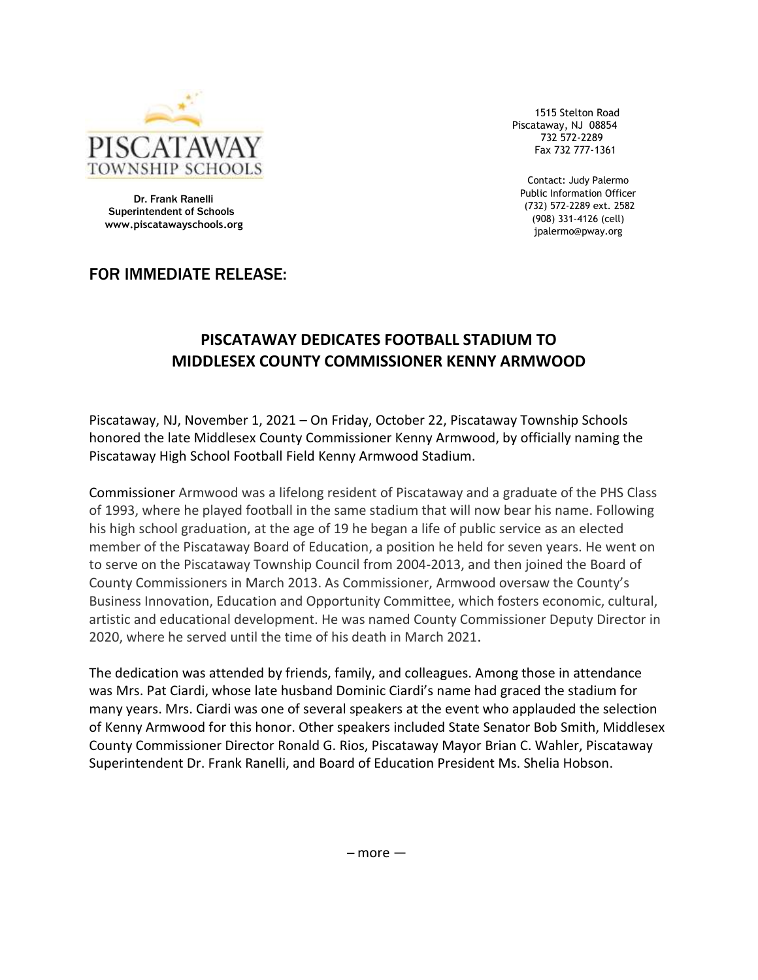

1515 Stelton Road Piscataway, NJ 08854 732 572-2289 Fax 732 777-1361

Contact: Judy Palermo Public Information Officer (732) 572-2289 ext. 2582 (908) 331-4126 (cell) jpalermo@pway.org

Dr. Frank Ranelli Superintendent of Schools  **www.piscatawayschools.org**

## FOR IMMEDIATE RELEASE:

## **PISCATAWAY DEDICATES FOOTBALL STADIUM TO MIDDLESEX COUNTY COMMISSIONER KENNY ARMWOOD**

Piscataway, NJ, November 1, 2021 – On Friday, October 22, Piscataway Township Schools honored the late Middlesex County Commissioner Kenny Armwood, by officially naming the Piscataway High School Football Field Kenny Armwood Stadium.

Commissioner Armwood was a lifelong resident of Piscataway and a graduate of the PHS Class of 1993, where he played football in the same stadium that will now bear his name. Following his high school graduation, at the age of 19 he began a life of public service as an elected member of the Piscataway Board of Education, a position he held for seven years. He went on to serve on the Piscataway Township Council from 2004-2013, and then joined the Board of County Commissioners in March 2013. As Commissioner, Armwood oversaw the County's Business Innovation, Education and Opportunity Committee, which fosters economic, cultural, artistic and educational development. He was named County Commissioner Deputy Director in 2020, where he served until the time of his death in March 2021.

The dedication was attended by friends, family, and colleagues. Among those in attendance was Mrs. Pat Ciardi, whose late husband Dominic Ciardi's name had graced the stadium for many years. Mrs. Ciardi was one of several speakers at the event who applauded the selection of Kenny Armwood for this honor. Other speakers included State Senator Bob Smith, Middlesex County Commissioner Director Ronald G. Rios, Piscataway Mayor Brian C. Wahler, Piscataway Superintendent Dr. Frank Ranelli, and Board of Education President Ms. Shelia Hobson.

 $-$  more  $-$